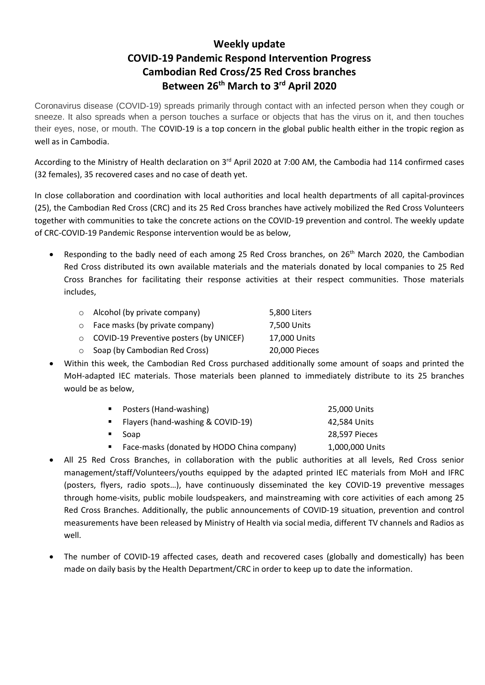## **Weekly update COVID-19 Pandemic Respond Intervention Progress Cambodian Red Cross/25 Red Cross branches Between 26th March to 3 rd April 2020**

Coronavirus disease (COVID-19) spreads primarily through contact with an infected person when they cough or sneeze. It also spreads when a person touches a surface or objects that has the virus on it, and then touches their eyes, nose, or mouth. The COVID-19 is a top concern in the global public health either in the tropic region as well as in Cambodia.

According to the Ministry of Health declaration on 3<sup>rd</sup> April 2020 at 7:00 AM, the Cambodia had 114 confirmed cases (32 females), 35 recovered cases and no case of death yet.

In close collaboration and coordination with local authorities and local health departments of all capital-provinces (25), the Cambodian Red Cross (CRC) and its 25 Red Cross branches have actively mobilized the Red Cross Volunteers together with communities to take the concrete actions on the COVID-19 prevention and control. The weekly update of CRC-COVID-19 Pandemic Response intervention would be as below,

Responding to the badly need of each among 25 Red Cross branches, on 26<sup>th</sup> March 2020, the Cambodian Red Cross distributed its own available materials and the materials donated by local companies to 25 Red Cross Branches for facilitating their response activities at their respect communities. Those materials includes,

| $\circ$ Alcohol (by private company)            | 5,800 Liters  |
|-------------------------------------------------|---------------|
| $\circ$ Face masks (by private company)         | 7,500 Units   |
| $\circ$ COVID-19 Preventive posters (by UNICEF) | 17,000 Units  |
| ○ Soap (by Cambodian Red Cross)                 | 20,000 Pieces |

• Within this week, the Cambodian Red Cross purchased additionally some amount of soaps and printed the MoH-adapted IEC materials. Those materials been planned to immediately distribute to its 25 branches would be as below,

| Posters (Hand-washing)                     | 25,000 Units    |
|--------------------------------------------|-----------------|
| ■ Flayers (hand-washing & COVID-19)        | 42,584 Units    |
| ■ Soap                                     | 28,597 Pieces   |
| Face-masks (donated by HODO China company) | 1,000,000 Units |

- All 25 Red Cross Branches, in collaboration with the public authorities at all levels, Red Cross senior management/staff/Volunteers/youths equipped by the adapted printed IEC materials from MoH and IFRC (posters, flyers, radio spots…), have continuously disseminated the key COVID-19 preventive messages through home-visits, public mobile loudspeakers, and mainstreaming with core activities of each among 25 Red Cross Branches. Additionally, the public announcements of COVID-19 situation, prevention and control measurements have been released by Ministry of Health via social media, different TV channels and Radios as well.
- The number of COVID-19 affected cases, death and recovered cases (globally and domestically) has been made on daily basis by the Health Department/CRC in order to keep up to date the information.